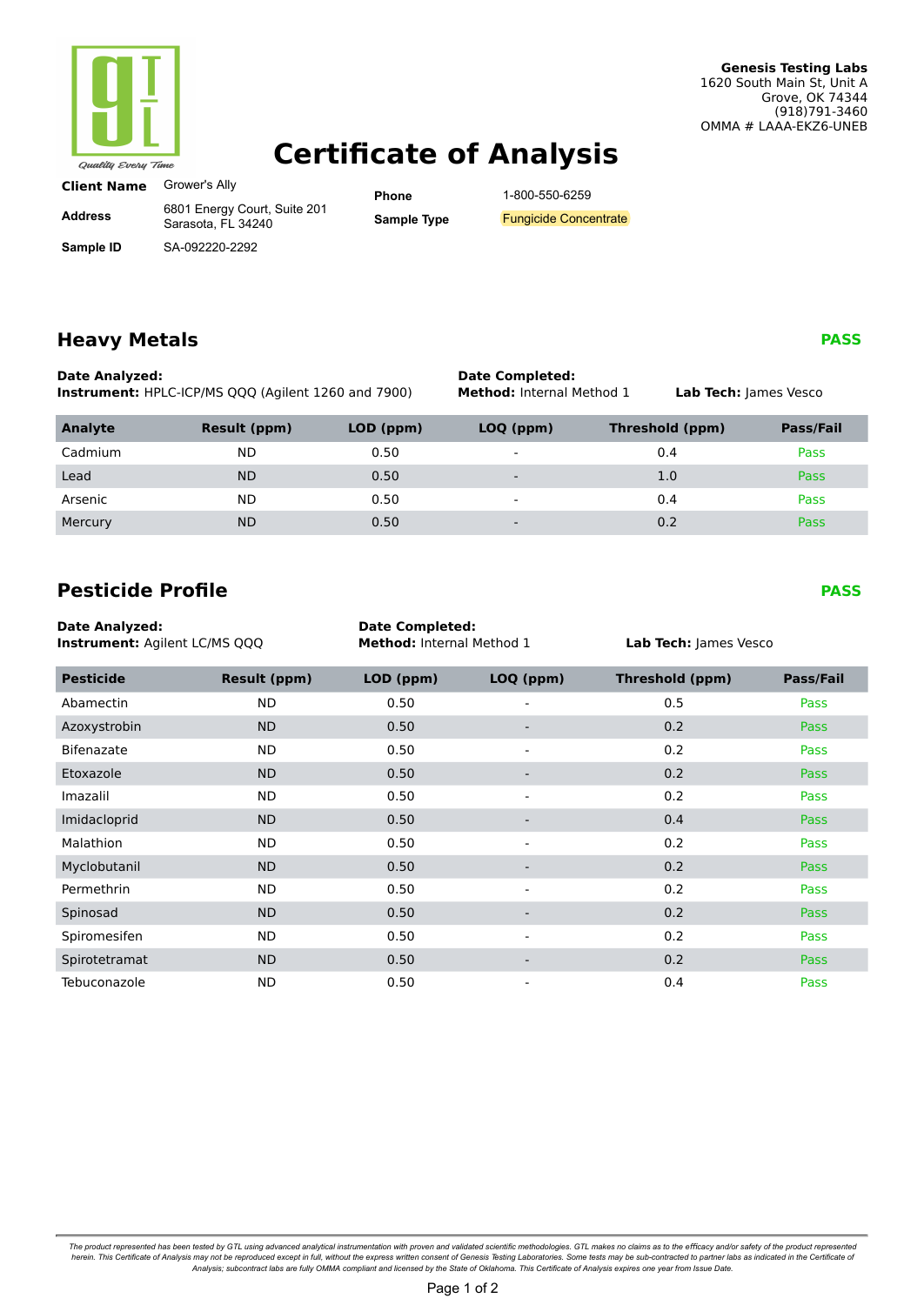

#### **Genesis Testing Labs** 1620 South Main St, Unit A Grove, OK 74344 (918)791-3460 OMMA # LAAA-EKZ6-UNEB

# **Certificate of Analysis**

| Grower's Ally |
|---------------|
|               |

**Address**

**Sample ID**

6801 Energy Court, Suite 201 Sarasota, FL 34240 SA-092220-2292

**Phone Sample Type** 1-800-550-6259

## **Heavy Metals**

**Date Analyzed: Instrument:** HPLC-ICP/MS QQQ (Agilent 1260 and 7900)

Tebuconazole ND 0.50

### **Date Completed: Method:** Internal Method 1 **Lab Tech:** James Vesco

0.4 Pass

| Analyte | Result (ppm) | LOD (ppm) | LOQ (ppm)                | Threshold (ppm) | Pass/Fail   |
|---------|--------------|-----------|--------------------------|-----------------|-------------|
| Cadmium | ND           | 0.50      | $\sim$                   | 0.4             | <b>Pass</b> |
| Lead    | <b>ND</b>    | 0.50      | $\overline{\phantom{a}}$ | 1.0             | <b>Pass</b> |
| Arsenic | <b>ND</b>    | 0.50      | $\overline{\phantom{a}}$ | 0.4             | <b>Pass</b> |
| Mercury | <b>ND</b>    | 0.50      | $\overline{\phantom{0}}$ | 0.2             | Pass        |

## **Pesticide Profile**

| <b>Date Analyzed:</b><br><b>Instrument: Agilent LC/MS QQQ</b> |                     | <b>Date Completed:</b><br>Method: Internal Method 1 |                          | Lab Tech: James Vesco  |             |
|---------------------------------------------------------------|---------------------|-----------------------------------------------------|--------------------------|------------------------|-------------|
| <b>Pesticide</b>                                              | <b>Result (ppm)</b> | LOD (ppm)                                           | LOQ (ppm)                | <b>Threshold (ppm)</b> | Pass/Fail   |
| Abamectin                                                     | ND.                 | 0.50                                                |                          | 0.5                    | Pass        |
| Azoxystrobin                                                  | ND.                 | 0.50                                                |                          | 0.2                    | Pass        |
| <b>Bifenazate</b>                                             | ND.                 | 0.50                                                | $\overline{\phantom{0}}$ | 0.2                    | Pass        |
| Etoxazole                                                     | ND.                 | 0.50                                                | -                        | 0.2                    | <b>Pass</b> |
| Imazalil                                                      | ND.                 | 0.50                                                | $\overline{\phantom{a}}$ | 0.2                    | Pass        |
| Imidacloprid                                                  | <b>ND</b>           | 0.50                                                | $\overline{\phantom{a}}$ | 0.4                    | <b>Pass</b> |
| Malathion                                                     | <b>ND</b>           | 0.50                                                | $\overline{\phantom{a}}$ | 0.2                    | Pass        |
| Myclobutanil                                                  | <b>ND</b>           | 0.50                                                |                          | 0.2                    | <b>Pass</b> |
| Permethrin                                                    | ND.                 | 0.50                                                | $\overline{\phantom{a}}$ | 0.2                    | Pass        |
| Spinosad                                                      | ND.                 | 0.50                                                | -                        | 0.2                    | <b>Pass</b> |
| Spiromesifen                                                  | ND.                 | 0.50                                                | $\overline{\phantom{a}}$ | 0.2                    | Pass        |
| Spirotetramat                                                 | <b>ND</b>           | 0.50                                                |                          | 0.2                    | <b>Pass</b> |

The product represented has been tested by GTL using advanced analytical instrumentation with proven and validated scientific methodologies. GTL makes no claims as to the efficacy and/or safety of the product represented b

**PASS** 

**PASS**